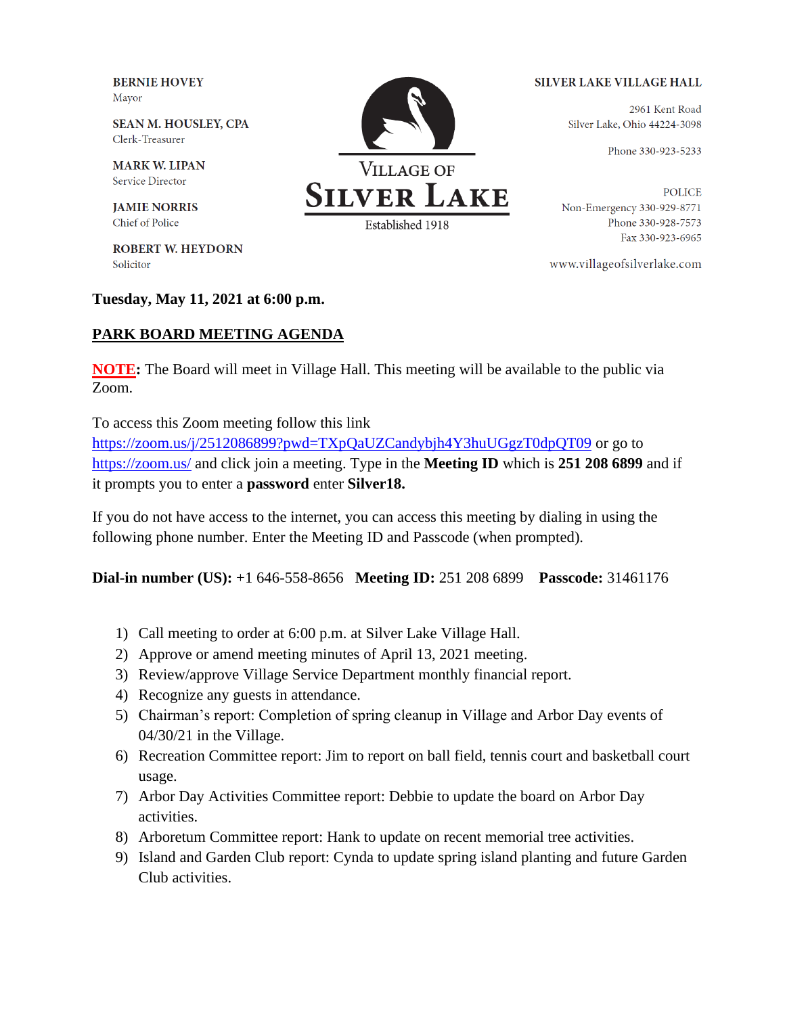**BERNIE HOVEY** Mayor

**SEAN M. HOUSLEY, CPA** Clerk-Treasurer

**MARK W. LIPAN Service Director** 

**JAMIE NORRIS** Chief of Police

**ROBERT W. HEYDORN** Solicitor

## **Tuesday, May 11, 2021 at 6:00 p.m.**

## **PARK BOARD MEETING AGENDA**

**NOTE:** The Board will meet in Village Hall. This meeting will be available to the public via Zoom.

To access this Zoom meeting follow this link

<https://zoom.us/j/2512086899?pwd=TXpQaUZCandybjh4Y3huUGgzT0dpQT09> or go to <https://zoom.us/> and click join a meeting. Type in the **Meeting ID** which is **251 208 6899** and if it prompts you to enter a **password** enter **Silver18.** 

If you do not have access to the internet, you can access this meeting by dialing in using the following phone number. Enter the Meeting ID and Passcode (when prompted).

**Dial-in number (US):** +1 646-558-8656 **Meeting ID:** 251 208 6899 **Passcode:** 31461176

- 1) Call meeting to order at 6:00 p.m. at Silver Lake Village Hall.
- 2) Approve or amend meeting minutes of April 13, 2021 meeting.
- 3) Review/approve Village Service Department monthly financial report.
- 4) Recognize any guests in attendance.
- 5) Chairman's report: Completion of spring cleanup in Village and Arbor Day events of 04/30/21 in the Village.
- 6) Recreation Committee report: Jim to report on ball field, tennis court and basketball court usage.
- 7) Arbor Day Activities Committee report: Debbie to update the board on Arbor Day activities.
- 8) Arboretum Committee report: Hank to update on recent memorial tree activities.
- 9) Island and Garden Club report: Cynda to update spring island planting and future Garden Club activities.



## **SILVER LAKE VILLAGE HALL**

2961 Kent Road Silver Lake, Ohio 44224-3098

Phone 330-923-5233

**POLICE** Non-Emergency 330-929-8771 Phone 330-928-7573 Fax 330-923-6965

www.villageofsilverlake.com